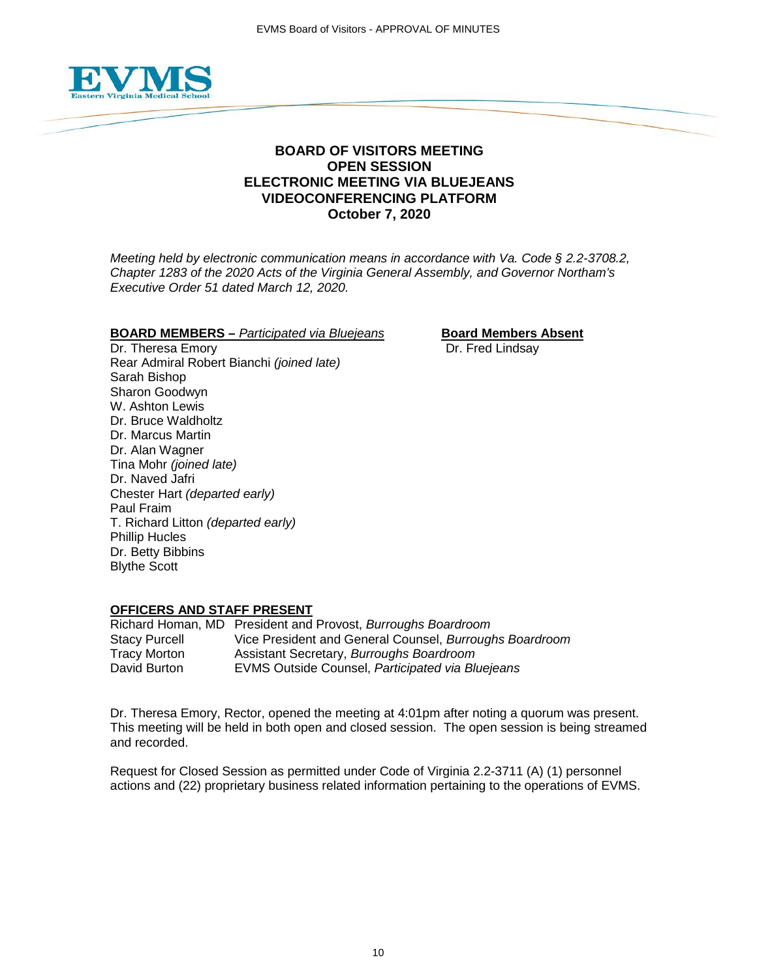

## **BOARD OF VISITORS MEETING OPEN SESSION ELECTRONIC MEETING VIA BLUEJEANS VIDEOCONFERENCING PLATFORM October 7, 2020**

*Meeting held by electronic communication means in accordance with Va. Code § 2.2-3708.2, Chapter 1283 of the 2020 Acts of the Virginia General Assembly, and Governor Northam's Executive Order 51 dated March 12, 2020.*

## **BOARD MEMBERS** – *Participated via Bluejeans* **Board Members Absent**<br>Dr. Theresa Emory **Board Members** Dr. Fred Lindsay

Dr. Theresa Emory Rear Admiral Robert Bianchi *(joined late)* Sarah Bishop Sharon Goodwyn W. Ashton Lewis Dr. Bruce Waldholtz Dr. Marcus Martin Dr. Alan Wagner Tina Mohr *(joined late)* Dr. Naved Jafri Chester Hart *(departed early)* Paul Fraim T. Richard Litton *(departed early)* Phillip Hucles Dr. Betty Bibbins Blythe Scott

#### **OFFICERS AND STAFF PRESENT**

Richard Homan, MD President and Provost, *Burroughs Boardroom* Stacy Purcell Vice President and General Counsel, *Burroughs Boardroom* Tracy Morton Assistant Secretary, *Burroughs Boardroom* **EVMS Outside Counsel, Participated via Bluejeans** 

Dr. Theresa Emory, Rector, opened the meeting at 4:01pm after noting a quorum was present. This meeting will be held in both open and closed session. The open session is being streamed and recorded.

Request for Closed Session as permitted under Code of Virginia 2.2-3711 (A) (1) personnel actions and (22) proprietary business related information pertaining to the operations of EVMS.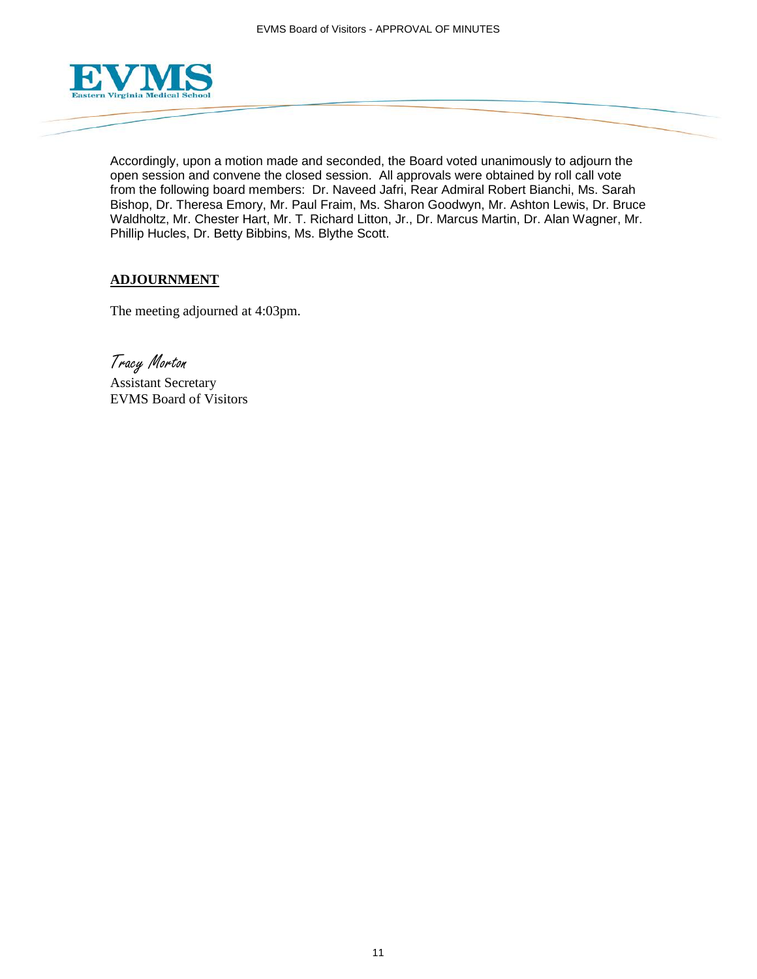

Accordingly, upon a motion made and seconded, the Board voted unanimously to adjourn the open session and convene the closed session. All approvals were obtained by roll call vote from the following board members: Dr. Naveed Jafri, Rear Admiral Robert Bianchi, Ms. Sarah Bishop, Dr. Theresa Emory, Mr. Paul Fraim, Ms. Sharon Goodwyn, Mr. Ashton Lewis, Dr. Bruce Waldholtz, Mr. Chester Hart, Mr. T. Richard Litton, Jr., Dr. Marcus Martin, Dr. Alan Wagner, Mr. Phillip Hucles, Dr. Betty Bibbins, Ms. Blythe Scott.

## **ADJOURNMENT**

The meeting adjourned at 4:03pm.

Tracy Morton

Assistant Secretary EVMS Board of Visitors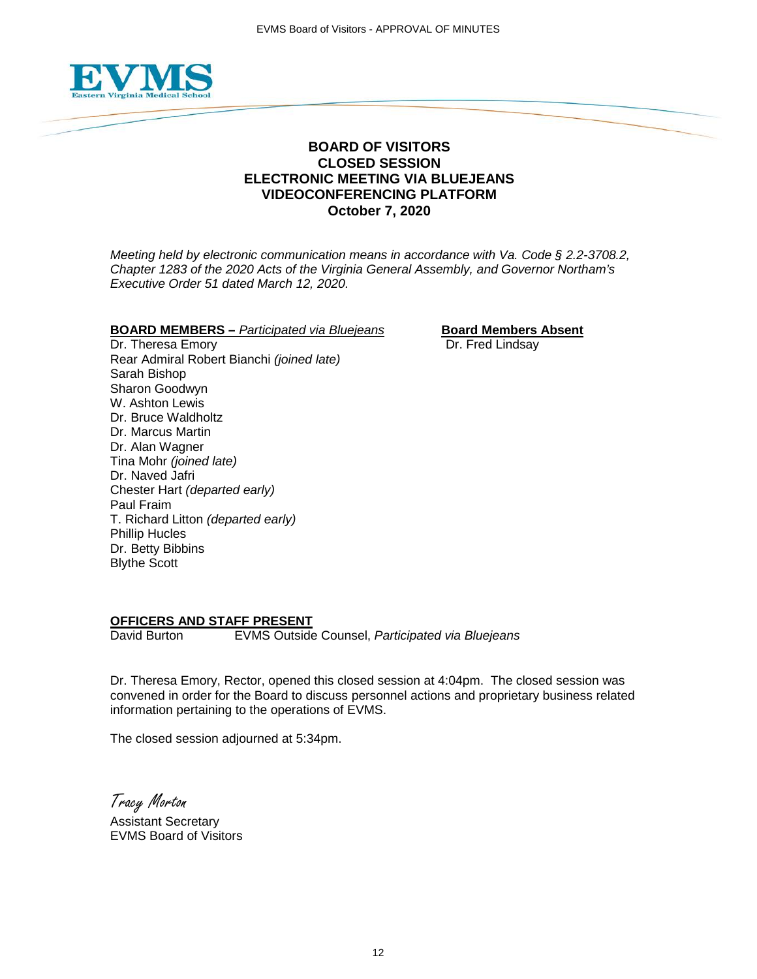

## **BOARD OF VISITORS CLOSED SESSION ELECTRONIC MEETING VIA BLUEJEANS VIDEOCONFERENCING PLATFORM October 7, 2020**

*Meeting held by electronic communication means in accordance with Va. Code § 2.2-3708.2, Chapter 1283 of the 2020 Acts of the Virginia General Assembly, and Governor Northam's Executive Order 51 dated March 12, 2020.*

#### **BOARD MEMBERS –** *Participated via Bluejeans* **Board Members Absent**

Dr. Theresa Emory **Dr. Fred Lindsay** Rear Admiral Robert Bianchi *(joined late)* Sarah Bishop Sharon Goodwyn W. Ashton Lewis Dr. Bruce Waldholtz Dr. Marcus Martin Dr. Alan Wagner Tina Mohr *(joined late)* Dr. Naved Jafri Chester Hart *(departed early)* Paul Fraim T. Richard Litton *(departed early)* Phillip Hucles Dr. Betty Bibbins Blythe Scott

# **OFFICERS AND STAFF PRESENT**<br>David Burton EVMS Outside

**EVMS Outside Counsel, Participated via Bluejeans** 

Dr. Theresa Emory, Rector, opened this closed session at 4:04pm. The closed session was convened in order for the Board to discuss personnel actions and proprietary business related information pertaining to the operations of EVMS.

The closed session adjourned at 5:34pm.

Tracy Morton

Assistant Secretary EVMS Board of Visitors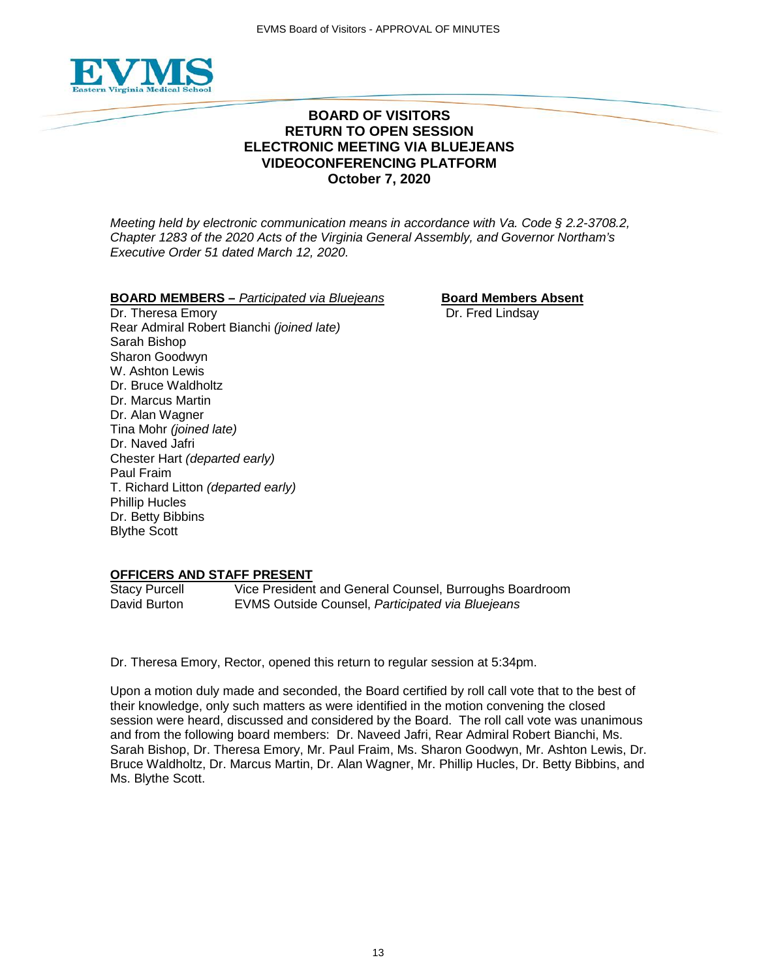

## **BOARD OF VISITORS RETURN TO OPEN SESSION ELECTRONIC MEETING VIA BLUEJEANS VIDEOCONFERENCING PLATFORM October 7, 2020**

*Meeting held by electronic communication means in accordance with Va. Code § 2.2-3708.2, Chapter 1283 of the 2020 Acts of the Virginia General Assembly, and Governor Northam's Executive Order 51 dated March 12, 2020.*

## **BOARD MEMBERS** – *Participated via Bluejeans* **Board Members Absent**

Dr. Theresa Emory **Dr. Fred Lindsay** Rear Admiral Robert Bianchi *(joined late)* Sarah Bishop Sharon Goodwyn W. Ashton Lewis Dr. Bruce Waldholtz Dr. Marcus Martin Dr. Alan Wagner Tina Mohr *(joined late)* Dr. Naved Jafri Chester Hart *(departed early)* Paul Fraim T. Richard Litton *(departed early)* Phillip Hucles Dr. Betty Bibbins Blythe Scott

### **OFFICERS AND STAFF PRESENT**

Stacy Purcell Vice President and General Counsel, Burroughs Boardroom David Burton EVMS Outside Counsel, *Participated via Bluejeans*

Dr. Theresa Emory, Rector, opened this return to regular session at 5:34pm.

Upon a motion duly made and seconded, the Board certified by roll call vote that to the best of their knowledge, only such matters as were identified in the motion convening the closed session were heard, discussed and considered by the Board. The roll call vote was unanimous and from the following board members: Dr. Naveed Jafri, Rear Admiral Robert Bianchi, Ms. Sarah Bishop, Dr. Theresa Emory, Mr. Paul Fraim, Ms. Sharon Goodwyn, Mr. Ashton Lewis, Dr. Bruce Waldholtz, Dr. Marcus Martin, Dr. Alan Wagner, Mr. Phillip Hucles, Dr. Betty Bibbins, and Ms. Blythe Scott.